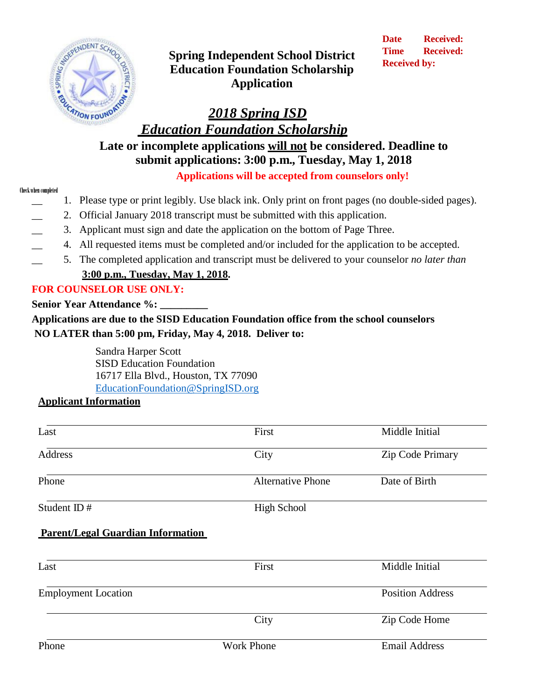

**Spring Independent School District Education Foundation Scholarship Application**

**Date Received: Time Received: Received by:**

# *2018 Spring ISD*

*Education Foundation Scholarship*

**Late or incomplete applications will not be considered. Deadline to submit applications: 3:00 p.m., Tuesday, May 1, 2018 Applications will be accepted from counselors only!**

#### Check when completed

- \_\_ 1. Please type or print legibly. Use black ink. Only print on front pages (no double-sided pages).
- 2. Official January 2018 transcript must be submitted with this application.
- \_\_ 3. Applicant must sign and date the application on the bottom of Page Three.
- \_\_ 4. All requested items must be completed and/or included for the application to be accepted.
- \_\_ 5. The completed application and transcript must be delivered to your counselor *no later than*

## **3:00 p.m., Tuesday, May 1, 2018.**

## **FOR COUNSELOR USE ONLY:**

**Senior Year Attendance %:** 

**Applications are due to the SISD Education Foundation office from the school counselors NO LATER than 5:00 pm, Friday, May 4, 2018. Deliver to:**

> Sandra Harper Scott SISD Education Foundation 16717 Ella Blvd., Houston, TX 77090 [EducationFoundation@SpringISD.org](mailto:EducationFoundation@SpringISD.org)

## **Applicant Information**

| Last                                     | First                    | Middle Initial          |
|------------------------------------------|--------------------------|-------------------------|
| Address                                  | City                     | Zip Code Primary        |
| Phone                                    | <b>Alternative Phone</b> | Date of Birth           |
| Student ID#                              | <b>High School</b>       |                         |
| <b>Parent/Legal Guardian Information</b> |                          |                         |
| Last                                     | First                    | Middle Initial          |
| <b>Employment Location</b>               |                          | <b>Position Address</b> |
|                                          | City                     | Zip Code Home           |
| Phone                                    | <b>Work Phone</b>        | <b>Email Address</b>    |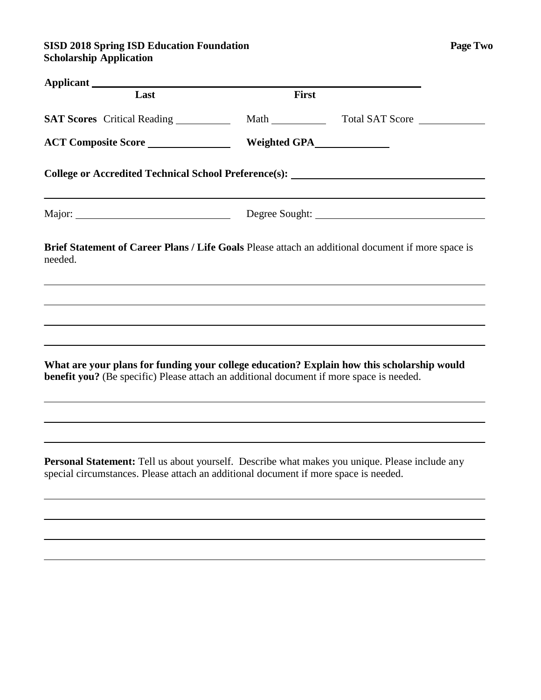### **SISD 2018 Spring ISD Education Foundation Page Two Scholarship Application**

| Applicant                  |                                                                                                                                                                                               |
|----------------------------|-----------------------------------------------------------------------------------------------------------------------------------------------------------------------------------------------|
| Last                       | <b>First</b>                                                                                                                                                                                  |
|                            | SAT Scores Critical Reading ____________ Math _______________ Total SAT Score _______________                                                                                                 |
| <b>ACT Composite Score</b> |                                                                                                                                                                                               |
|                            | College or Accredited Technical School Preference(s): ___________________________                                                                                                             |
|                            | ,我们也不会有什么。""我们的人,我们也不会有什么?""我们的人,我们也不会有什么?""我们的人,我们也不会有什么?""我们的人,我们也不会有什么?""我们的人                                                                                                              |
| needed.                    | Brief Statement of Career Plans / Life Goals Please attach an additional document if more space is                                                                                            |
|                            |                                                                                                                                                                                               |
|                            |                                                                                                                                                                                               |
|                            | ,我们也不会有什么。""我们的人,我们也不会有什么?""我们的人,我们也不会有什么?""我们的人,我们也不会有什么?""我们的人,我们也不会有什么?""我们的人                                                                                                              |
|                            | What are your plans for funding your college education? Explain how this scholarship would<br><b>benefit you?</b> (Be specific) Please attach an additional document if more space is needed. |
|                            |                                                                                                                                                                                               |
|                            |                                                                                                                                                                                               |
|                            | <b>Personal Statement:</b> Tell us about yourself. Describe what makes you unique. Please include any<br>special circumstances. Please attach an additional document if more space is needed. |
|                            |                                                                                                                                                                                               |
|                            |                                                                                                                                                                                               |
|                            |                                                                                                                                                                                               |
|                            |                                                                                                                                                                                               |